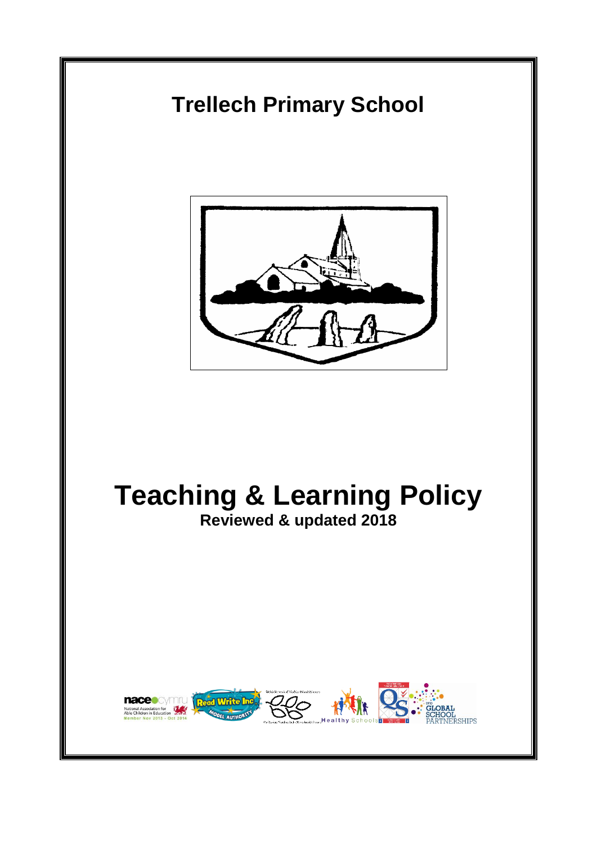# **Trellech Primary School**



# **Teaching & Learning Policy**

**Reviewed & updated 2018** 

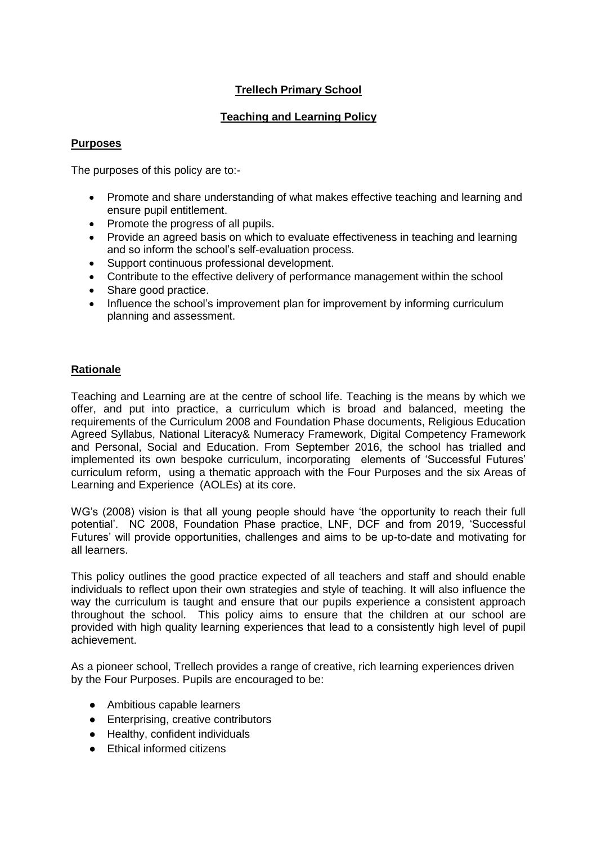# **Trellech Primary School**

# **Teaching and Learning Policy**

# **Purposes**

The purposes of this policy are to:-

- Promote and share understanding of what makes effective teaching and learning and ensure pupil entitlement.
- Promote the progress of all pupils.
- Provide an agreed basis on which to evaluate effectiveness in teaching and learning and so inform the school's self-evaluation process.
- Support continuous professional development.
- Contribute to the effective delivery of performance management within the school
- Share good practice.
- Influence the school's improvement plan for improvement by informing curriculum planning and assessment.

# **Rationale**

Teaching and Learning are at the centre of school life. Teaching is the means by which we offer, and put into practice, a curriculum which is broad and balanced, meeting the requirements of the Curriculum 2008 and Foundation Phase documents, Religious Education Agreed Syllabus, National Literacy& Numeracy Framework, Digital Competency Framework and Personal, Social and Education. From September 2016, the school has trialled and implemented its own bespoke curriculum, incorporating elements of 'Successful Futures' curriculum reform, using a thematic approach with the Four Purposes and the six Areas of Learning and Experience (AOLEs) at its core.

WG's (2008) vision is that all young people should have 'the opportunity to reach their full potential'. NC 2008, Foundation Phase practice, LNF, DCF and from 2019, 'Successful Futures' will provide opportunities, challenges and aims to be up-to-date and motivating for all learners.

This policy outlines the good practice expected of all teachers and staff and should enable individuals to reflect upon their own strategies and style of teaching. It will also influence the way the curriculum is taught and ensure that our pupils experience a consistent approach throughout the school. This policy aims to ensure that the children at our school are provided with high quality learning experiences that lead to a consistently high level of pupil achievement.

As a pioneer school, Trellech provides a range of creative, rich learning experiences driven by the Four Purposes. Pupils are encouraged to be:

- Ambitious capable learners
- Enterprising, creative contributors
- Healthy, confident individuals
- Ethical informed citizens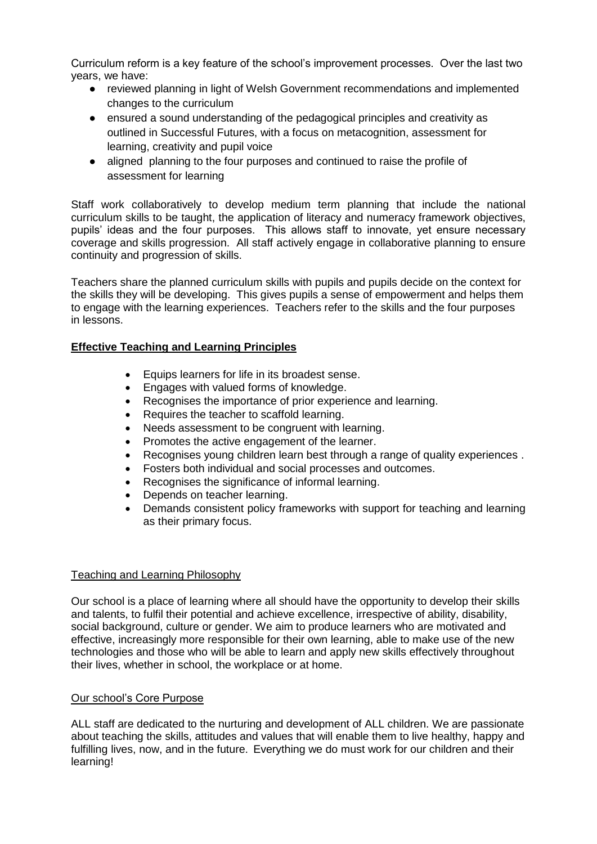Curriculum reform is a key feature of the school's improvement processes. Over the last two years, we have:

- reviewed planning in light of Welsh Government recommendations and implemented changes to the curriculum
- ensured a sound understanding of the pedagogical principles and creativity as outlined in Successful Futures, with a focus on metacognition, assessment for learning, creativity and pupil voice
- aligned planning to the four purposes and continued to raise the profile of assessment for learning

Staff work collaboratively to develop medium term planning that include the national curriculum skills to be taught, the application of literacy and numeracy framework objectives, pupils' ideas and the four purposes. This allows staff to innovate, yet ensure necessary coverage and skills progression. All staff actively engage in collaborative planning to ensure continuity and progression of skills.

Teachers share the planned curriculum skills with pupils and pupils decide on the context for the skills they will be developing. This gives pupils a sense of empowerment and helps them to engage with the learning experiences. Teachers refer to the skills and the four purposes in lessons.

# **Effective Teaching and Learning Principles**

- Equips learners for life in its broadest sense.
- Engages with valued forms of knowledge.
- Recognises the importance of prior experience and learning.
- Requires the teacher to scaffold learning.
- Needs assessment to be congruent with learning.
- Promotes the active engagement of the learner.
- Recognises young children learn best through a range of quality experiences .
- Fosters both individual and social processes and outcomes.
- Recognises the significance of informal learning.
- Depends on teacher learning.
- Demands consistent policy frameworks with support for teaching and learning as their primary focus.

# Teaching and Learning Philosophy

Our school is a place of learning where all should have the opportunity to develop their skills and talents, to fulfil their potential and achieve excellence, irrespective of ability, disability, social background, culture or gender. We aim to produce learners who are motivated and effective, increasingly more responsible for their own learning, able to make use of the new technologies and those who will be able to learn and apply new skills effectively throughout their lives, whether in school, the workplace or at home.

# Our school's Core Purpose

ALL staff are dedicated to the nurturing and development of ALL children. We are passionate about teaching the skills, attitudes and values that will enable them to live healthy, happy and fulfilling lives, now, and in the future. Everything we do must work for our children and their learning!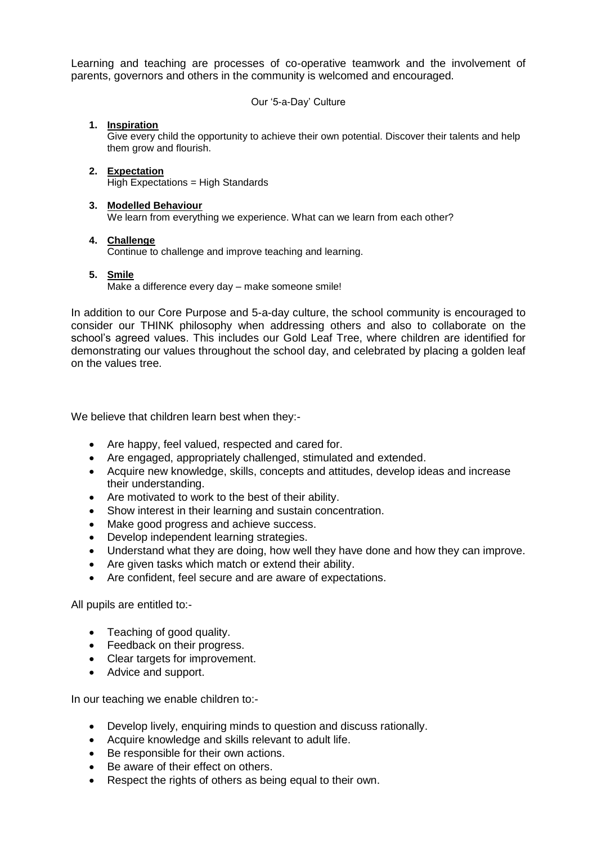Learning and teaching are processes of co-operative teamwork and the involvement of parents, governors and others in the community is welcomed and encouraged.

Our '5-a-Day' Culture

## **1. Inspiration**

Give every child the opportunity to achieve their own potential. Discover their talents and help them grow and flourish.

#### **2. Expectation**  High Expectations = High Standards

#### **3. Modelled Behaviour**

We learn from everything we experience. What can we learn from each other?

#### **4. Challenge**

Continue to challenge and improve teaching and learning.

#### **5. Smile**

Make a difference every day – make someone smile!

In addition to our Core Purpose and 5-a-day culture, the school community is encouraged to consider our THINK philosophy when addressing others and also to collaborate on the school's agreed values. This includes our Gold Leaf Tree, where children are identified for demonstrating our values throughout the school day, and celebrated by placing a golden leaf on the values tree.

We believe that children learn best when they:-

- Are happy, feel valued, respected and cared for.
- Are engaged, appropriately challenged, stimulated and extended.
- Acquire new knowledge, skills, concepts and attitudes, develop ideas and increase their understanding.
- Are motivated to work to the best of their ability.
- Show interest in their learning and sustain concentration.
- Make good progress and achieve success.
- Develop independent learning strategies.
- Understand what they are doing, how well they have done and how they can improve.
- Are given tasks which match or extend their ability.
- Are confident, feel secure and are aware of expectations.

All pupils are entitled to:-

- Teaching of good quality.
- Feedback on their progress.
- Clear targets for improvement.
- Advice and support.

In our teaching we enable children to:-

- Develop lively, enquiring minds to question and discuss rationally.
- Acquire knowledge and skills relevant to adult life.
- Be responsible for their own actions.
- Be aware of their effect on others.
- Respect the rights of others as being equal to their own.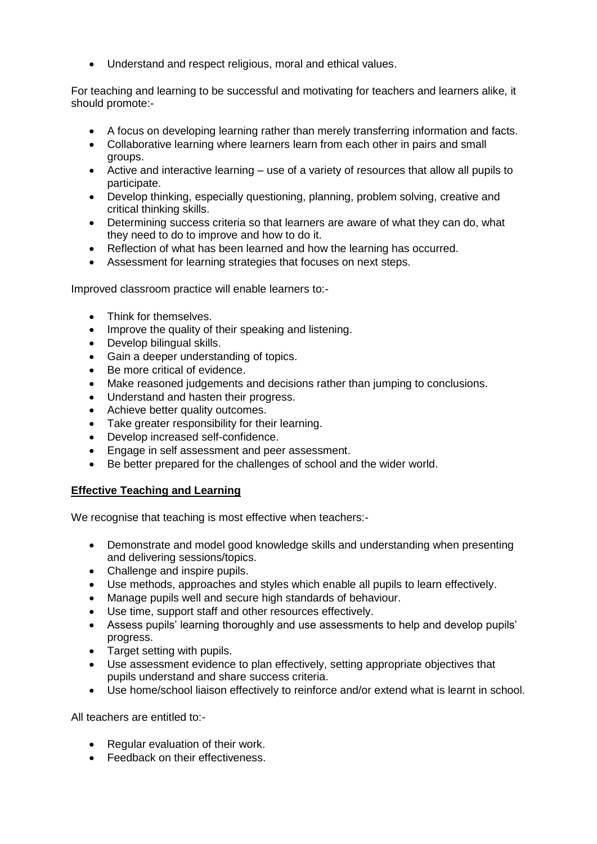Understand and respect religious, moral and ethical values.

For teaching and learning to be successful and motivating for teachers and learners alike, it should promote:-

- A focus on developing learning rather than merely transferring information and facts.
- Collaborative learning where learners learn from each other in pairs and small groups.
- Active and interactive learning use of a variety of resources that allow all pupils to participate.
- Develop thinking, especially questioning, planning, problem solving, creative and critical thinking skills.
- Determining success criteria so that learners are aware of what they can do, what they need to do to improve and how to do it.
- Reflection of what has been learned and how the learning has occurred.
- Assessment for learning strategies that focuses on next steps.

Improved classroom practice will enable learners to:-

- Think for themselves.
- Improve the quality of their speaking and listening.
- Develop bilingual skills.
- Gain a deeper understanding of topics.
- Be more critical of evidence.
- Make reasoned judgements and decisions rather than jumping to conclusions.
- Understand and hasten their progress.
- Achieve better quality outcomes.
- Take greater responsibility for their learning.
- Develop increased self-confidence.
- Engage in self assessment and peer assessment.
- Be better prepared for the challenges of school and the wider world.

# **Effective Teaching and Learning**

We recognise that teaching is most effective when teachers:-

- Demonstrate and model good knowledge skills and understanding when presenting and delivering sessions/topics.
- Challenge and inspire pupils.
- Use methods, approaches and styles which enable all pupils to learn effectively.
- Manage pupils well and secure high standards of behaviour.
- Use time, support staff and other resources effectively.
- Assess pupils' learning thoroughly and use assessments to help and develop pupils' progress.
- Target setting with pupils.
- Use assessment evidence to plan effectively, setting appropriate objectives that pupils understand and share success criteria.
- Use home/school liaison effectively to reinforce and/or extend what is learnt in school.

All teachers are entitled to:-

- Regular evaluation of their work.
- **•** Feedback on their effectiveness.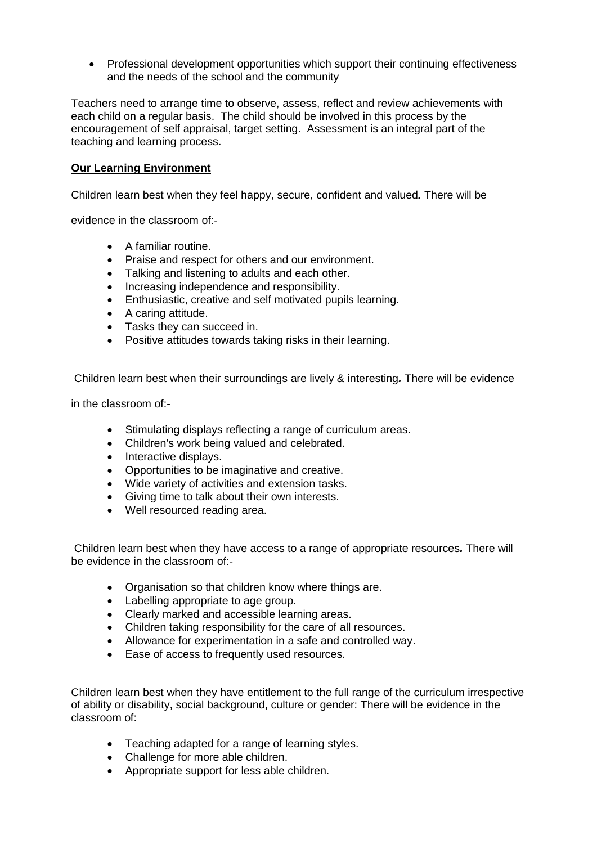Professional development opportunities which support their continuing effectiveness and the needs of the school and the community

Teachers need to arrange time to observe, assess, reflect and review achievements with each child on a regular basis. The child should be involved in this process by the encouragement of self appraisal, target setting. Assessment is an integral part of the teaching and learning process.

#### **Our Learning Environment**

Children learn best when they feel happy, secure, confident and valued*.* There will be

evidence in the classroom of:-

- A familiar routine.
- Praise and respect for others and our environment.
- Talking and listening to adults and each other.
- Increasing independence and responsibility.
- Enthusiastic, creative and self motivated pupils learning.
- A caring attitude.
- Tasks they can succeed in.
- Positive attitudes towards taking risks in their learning.

Children learn best when their surroundings are lively & interesting*.* There will be evidence

in the classroom of:-

- Stimulating displays reflecting a range of curriculum areas.
- Children's work being valued and celebrated.
- Interactive displays.
- Opportunities to be imaginative and creative.
- Wide variety of activities and extension tasks.
- Giving time to talk about their own interests.
- Well resourced reading area.

Children learn best when they have access to a range of appropriate resources*.* There will be evidence in the classroom of:-

- Organisation so that children know where things are.
- Labelling appropriate to age group.
- Clearly marked and accessible learning areas.
- Children taking responsibility for the care of all resources.
- Allowance for experimentation in a safe and controlled way.
- Ease of access to frequently used resources.

Children learn best when they have entitlement to the full range of the curriculum irrespective of ability or disability, social background, culture or gender: There will be evidence in the classroom of:

- Teaching adapted for a range of learning styles.
- Challenge for more able children.
- Appropriate support for less able children.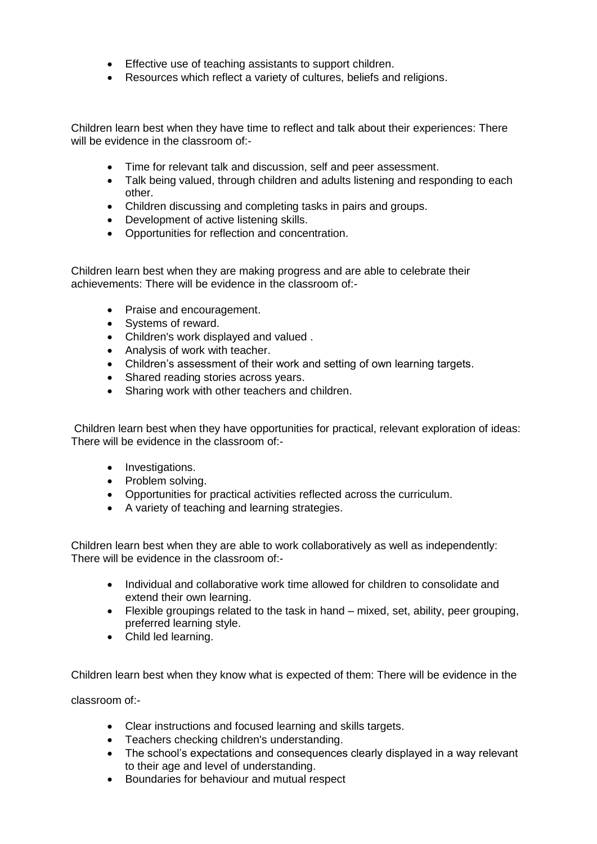- Effective use of teaching assistants to support children.
- Resources which reflect a variety of cultures, beliefs and religions.

Children learn best when they have time to reflect and talk about their experiences: There will be evidence in the classroom of:-

- Time for relevant talk and discussion, self and peer assessment.
- Talk being valued, through children and adults listening and responding to each other.
- Children discussing and completing tasks in pairs and groups.
- Development of active listening skills.
- Opportunities for reflection and concentration.

Children learn best when they are making progress and are able to celebrate their achievements: There will be evidence in the classroom of:-

- Praise and encouragement.
- Systems of reward.
- Children's work displayed and valued .
- Analysis of work with teacher.
- Children's assessment of their work and setting of own learning targets.
- Shared reading stories across years.
- Sharing work with other teachers and children.

Children learn best when they have opportunities for practical, relevant exploration of ideas: There will be evidence in the classroom of:-

- Investigations.
- Problem solving.
- Opportunities for practical activities reflected across the curriculum.
- A variety of teaching and learning strategies.

Children learn best when they are able to work collaboratively as well as independently: There will be evidence in the classroom of:-

- Individual and collaborative work time allowed for children to consolidate and extend their own learning.
- Flexible groupings related to the task in hand mixed, set, ability, peer grouping, preferred learning style.
- Child led learning.

Children learn best when they know what is expected of them: There will be evidence in the

classroom of:-

- Clear instructions and focused learning and skills targets.
- Teachers checking children's understanding.
- The school's expectations and consequences clearly displayed in a way relevant to their age and level of understanding.
- Boundaries for behaviour and mutual respect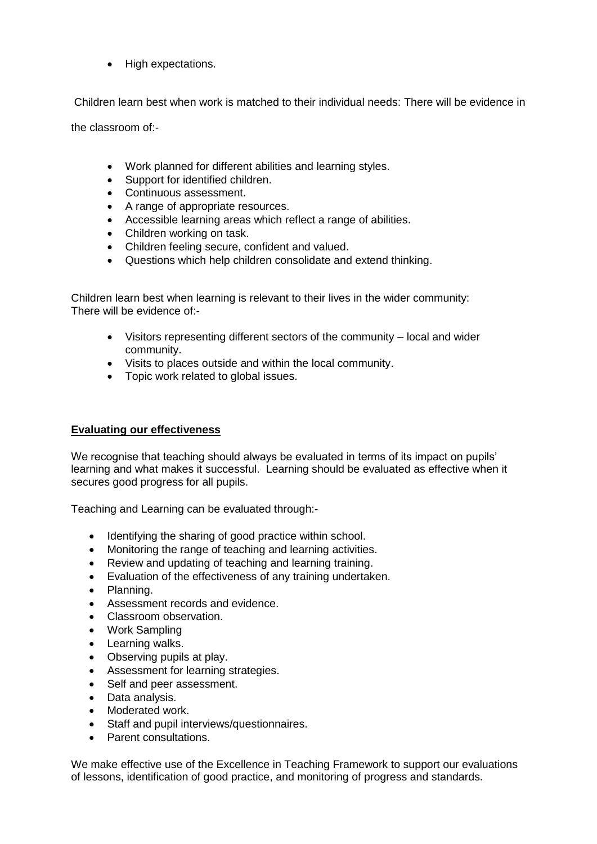• High expectations.

Children learn best when work is matched to their individual needs: There will be evidence in

the classroom of:-

- Work planned for different abilities and learning styles.
- Support for identified children.
- Continuous assessment.
- A range of appropriate resources.
- Accessible learning areas which reflect a range of abilities.
- Children working on task.
- Children feeling secure, confident and valued.
- Questions which help children consolidate and extend thinking.

Children learn best when learning is relevant to their lives in the wider community: There will be evidence of:-

- Visitors representing different sectors of the community local and wider community.
- Visits to places outside and within the local community.
- Topic work related to global issues.

# **Evaluating our effectiveness**

We recognise that teaching should always be evaluated in terms of its impact on pupils' learning and what makes it successful. Learning should be evaluated as effective when it secures good progress for all pupils.

Teaching and Learning can be evaluated through:-

- Identifying the sharing of good practice within school.
- Monitoring the range of teaching and learning activities.
- Review and updating of teaching and learning training.
- Evaluation of the effectiveness of any training undertaken.
- Planning.
- Assessment records and evidence.
- Classroom observation.
- Work Sampling
- Learning walks.
- Observing pupils at play.
- Assessment for learning strategies.
- Self and peer assessment.
- Data analysis.
- Moderated work.
- Staff and pupil interviews/questionnaires.
- **Parent consultations**

We make effective use of the Excellence in Teaching Framework to support our evaluations of lessons, identification of good practice, and monitoring of progress and standards.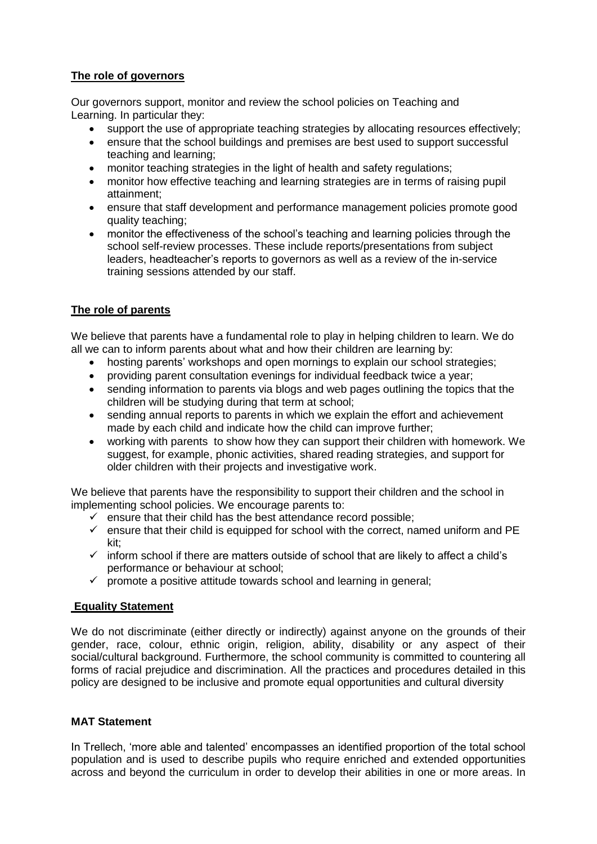# **The role of governors**

Our governors support, monitor and review the school policies on Teaching and Learning. In particular they:

- support the use of appropriate teaching strategies by allocating resources effectively;
- ensure that the school buildings and premises are best used to support successful teaching and learning;
- monitor teaching strategies in the light of health and safety regulations;
- monitor how effective teaching and learning strategies are in terms of raising pupil attainment;
- ensure that staff development and performance management policies promote good quality teaching;
- monitor the effectiveness of the school's teaching and learning policies through the school self-review processes. These include reports/presentations from subject leaders, headteacher's reports to governors as well as a review of the in-service training sessions attended by our staff.

# **The role of parents**

We believe that parents have a fundamental role to play in helping children to learn. We do all we can to inform parents about what and how their children are learning by:

- hosting parents' workshops and open mornings to explain our school strategies;
- providing parent consultation evenings for individual feedback twice a year;
- sending information to parents via blogs and web pages outlining the topics that the children will be studying during that term at school;
- sending annual reports to parents in which we explain the effort and achievement made by each child and indicate how the child can improve further;
- working with parents to show how they can support their children with homework. We suggest, for example, phonic activities, shared reading strategies, and support for older children with their projects and investigative work.

We believe that parents have the responsibility to support their children and the school in implementing school policies. We encourage parents to:

- $\checkmark$  ensure that their child has the best attendance record possible;
- $\checkmark$  ensure that their child is equipped for school with the correct, named uniform and PE kit;
- $\checkmark$  inform school if there are matters outside of school that are likely to affect a child's performance or behaviour at school;
- $\checkmark$  promote a positive attitude towards school and learning in general;

# **Equality Statement**

We do not discriminate (either directly or indirectly) against anyone on the grounds of their gender, race, colour, ethnic origin, religion, ability, disability or any aspect of their social/cultural background. Furthermore, the school community is committed to countering all forms of racial prejudice and discrimination. All the practices and procedures detailed in this policy are designed to be inclusive and promote equal opportunities and cultural diversity

# **MAT Statement**

In Trellech, 'more able and talented' encompasses an identified proportion of the total school population and is used to describe pupils who require enriched and extended opportunities across and beyond the curriculum in order to develop their abilities in one or more areas. In